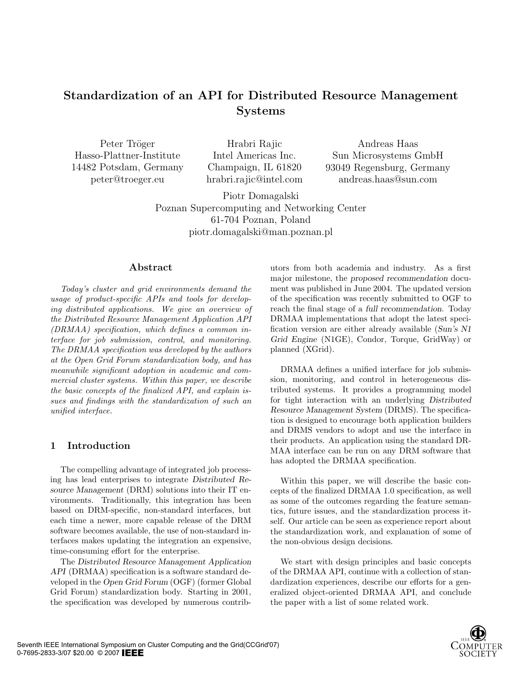# Standardization of an API for Distributed Resource Management Systems

Peter Tröger Hasso-Plattner-Institute 14482 Potsdam, Germany peter@troeger.eu

Hrabri Rajic Intel Americas Inc. Champaign, IL 61820 hrabri.rajic@intel.com

Andreas Haas Sun Microsystems GmbH 93049 Regensburg, Germany andreas.haas@sun.com

Piotr Domagalski Poznan Supercomputing and Networking Center 61-704 Poznan, Poland piotr.domagalski@man.poznan.pl

#### Abstract

Today's cluster and grid environments demand the usage of product-specific APIs and tools for developing distributed applications. We give an overview of the Distributed Resource Management Application API (DRMAA) specification, which defines a common interface for job submission, control, and monitoring. The DRMAA specification was developed by the authors at the Open Grid Forum standardization body, and has meanwhile significant adoption in academic and commercial cluster systems. Within this paper, we describe the basic concepts of the finalized API, and explain issues and findings with the standardization of such an unified interface.

# 1 Introduction

The compelling advantage of integrated job processing has lead enterprises to integrate Distributed Resource Management (DRM) solutions into their IT environments. Traditionally, this integration has been based on DRM-specific, non-standard interfaces, but each time a newer, more capable release of the DRM software becomes available, the use of non-standard interfaces makes updating the integration an expensive, time-consuming effort for the enterprise.

The Distributed Resource Management Application API (DRMAA) specification is a software standard developed in the Open Grid Forum (OGF) (former Global Grid Forum) standardization body. Starting in 2001, the specification was developed by numerous contributors from both academia and industry. As a first major milestone, the proposed recommendation document was published in June 2004. The updated version of the specification was recently submitted to OGF to reach the final stage of a full recommendation. Today DRMAA implementations that adopt the latest specification version are either already available (Sun's N1 Grid Engine (N1GE), Condor, Torque, GridWay) or planned (XGrid).

DRMAA defines a unified interface for job submission, monitoring, and control in heterogeneous distributed systems. It provides a programming model for tight interaction with an underlying Distributed Resource Management System (DRMS). The specification is designed to encourage both application builders and DRMS vendors to adopt and use the interface in their products. An application using the standard DR-MAA interface can be run on any DRM software that has adopted the DRMAA specification.

Within this paper, we will describe the basic concepts of the finalized DRMAA 1.0 specification, as well as some of the outcomes regarding the feature semantics, future issues, and the standardization process itself. Our article can be seen as experience report about the standardization work, and explanation of some of the non-obvious design decisions.

We start with design principles and basic concepts of the DRMAA API, continue with a collection of standardization experiences, describe our efforts for a generalized object-oriented DRMAA API, and conclude the paper with a list of some related work.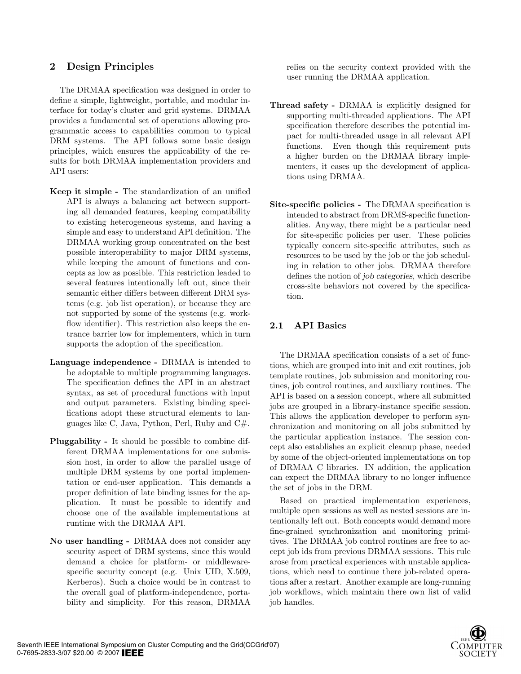# 2 Design Principles

The DRMAA specification was designed in order to define a simple, lightweight, portable, and modular interface for today's cluster and grid systems. DRMAA provides a fundamental set of operations allowing programmatic access to capabilities common to typical DRM systems. The API follows some basic design principles, which ensures the applicability of the results for both DRMAA implementation providers and API users:

- Keep it simple The standardization of an unified API is always a balancing act between supporting all demanded features, keeping compatibility to existing heterogeneous systems, and having a simple and easy to understand API definition. The DRMAA working group concentrated on the best possible interoperability to major DRM systems, while keeping the amount of functions and concepts as low as possible. This restriction leaded to several features intentionally left out, since their semantic either differs between different DRM systems (e.g. job list operation), or because they are not supported by some of the systems (e.g. workflow identifier). This restriction also keeps the entrance barrier low for implementers, which in turn supports the adoption of the specification.
- Language independence DRMAA is intended to be adoptable to multiple programming languages. The specification defines the API in an abstract syntax, as set of procedural functions with input and output parameters. Existing binding specifications adopt these structural elements to languages like C, Java, Python, Perl, Ruby and C#.
- Pluggability It should be possible to combine different DRMAA implementations for one submission host, in order to allow the parallel usage of multiple DRM systems by one portal implementation or end-user application. This demands a proper definition of late binding issues for the application. It must be possible to identify and choose one of the available implementations at runtime with the DRMAA API.
- No user handling DRMAA does not consider any security aspect of DRM systems, since this would demand a choice for platform- or middlewarespecific security concept (e.g. Unix UID, X.509, Kerberos). Such a choice would be in contrast to the overall goal of platform-independence, portability and simplicity. For this reason, DRMAA

relies on the security context provided with the user running the DRMAA application.

- Thread safety DRMAA is explicitly designed for supporting multi-threaded applications. The API specification therefore describes the potential impact for multi-threaded usage in all relevant API functions. Even though this requirement puts a higher burden on the DRMAA library implementers, it eases up the development of applications using DRMAA.
- Site-specific policies The DRMAA specification is intended to abstract from DRMS-specific functionalities. Anyway, there might be a particular need for site-specific policies per user. These policies typically concern site-specific attributes, such as resources to be used by the job or the job scheduling in relation to other jobs. DRMAA therefore defines the notion of job categories, which describe cross-site behaviors not covered by the specification.

# 2.1 API Basics

The DRMAA specification consists of a set of functions, which are grouped into init and exit routines, job template routines, job submission and monitoring routines, job control routines, and auxiliary routines. The API is based on a session concept, where all submitted jobs are grouped in a library-instance specific session. This allows the application developer to perform synchronization and monitoring on all jobs submitted by the particular application instance. The session concept also establishes an explicit cleanup phase, needed by some of the object-oriented implementations on top of DRMAA C libraries. IN addition, the application can expect the DRMAA library to no longer influence the set of jobs in the DRM.

Based on practical implementation experiences, multiple open sessions as well as nested sessions are intentionally left out. Both concepts would demand more fine-grained synchronization and monitoring primitives. The DRMAA job control routines are free to accept job ids from previous DRMAA sessions. This rule arose from practical experiences with unstable applications, which need to continue there job-related operations after a restart. Another example are long-running job workflows, which maintain there own list of valid job handles.

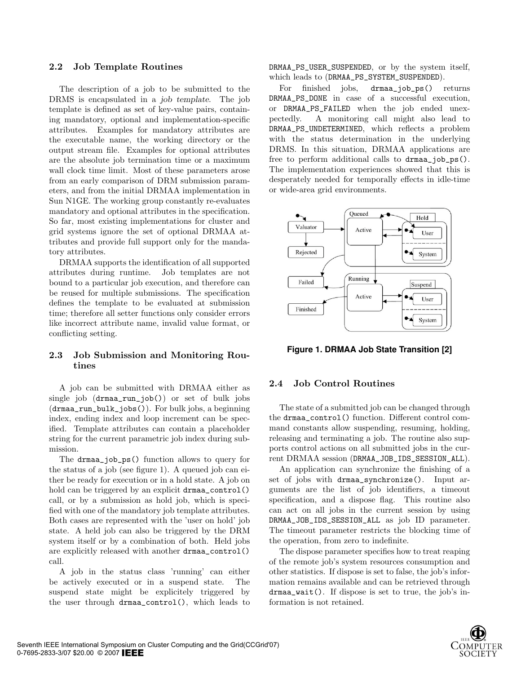#### 2.2 Job Template Routines

The description of a job to be submitted to the DRMS is encapsulated in a job template. The job template is defined as set of key-value pairs, containing mandatory, optional and implementation-specific attributes. Examples for mandatory attributes are the executable name, the working directory or the output stream file. Examples for optional attributes are the absolute job termination time or a maximum wall clock time limit. Most of these parameters arose from an early comparison of DRM submission parameters, and from the initial DRMAA implementation in Sun N1GE. The working group constantly re-evaluates mandatory and optional attributes in the specification. So far, most existing implementations for cluster and grid systems ignore the set of optional DRMAA attributes and provide full support only for the mandatory attributes.

DRMAA supports the identification of all supported attributes during runtime. Job templates are not bound to a particular job execution, and therefore can be reused for multiple submissions. The specification defines the template to be evaluated at submission time; therefore all setter functions only consider errors like incorrect attribute name, invalid value format, or conflicting setting.

#### 2.3 Job Submission and Monitoring Routines

A job can be submitted with DRMAA either as single job (drmaa\_run\_job()) or set of bulk jobs (drmaa\_run\_bulk\_jobs()). For bulk jobs, a beginning index, ending index and loop increment can be specified. Template attributes can contain a placeholder string for the current parametric job index during submission.

The drmaa\_job\_ps() function allows to query for the status of a job (see figure 1). A queued job can either be ready for execution or in a hold state. A job on hold can be triggered by an explicit drmaa\_control() call, or by a submission as hold job, which is specified with one of the mandatory job template attributes. Both cases are represented with the 'user on hold' job state. A held job can also be triggered by the DRM system itself or by a combination of both. Held jobs are explicitly released with another drmaa\_control() call.

A job in the status class 'running' can either be actively executed or in a suspend state. The suspend state might be explicitely triggered by the user through drmaa\_control(), which leads to DRMAA\_PS\_USER\_SUSPENDED, or by the system itself, which leads to (DRMAA\_PS\_SYSTEM\_SUSPENDED).

For finished jobs, drmaa\_job\_ps() returns DRMAA\_PS\_DONE in case of a successful execution, or DRMAA\_PS\_FAILED when the job ended unexpectedly. A monitoring call might also lead to DRMAA\_PS\_UNDETERMINED, which reflects a problem with the status determination in the underlying DRMS. In this situation, DRMAA applications are free to perform additional calls to drmaa\_job\_ps(). The implementation experiences showed that this is desperately needed for temporally effects in idle-time or wide-area grid environments.



**Figure 1. DRMAA Job State Transition [2]**

#### 2.4 Job Control Routines

The state of a submitted job can be changed through the drmaa\_control() function. Different control command constants allow suspending, resuming, holding, releasing and terminating a job. The routine also supports control actions on all submitted jobs in the current DRMAA session (DRMAA\_JOB\_IDS\_SESSION\_ALL).

An application can synchronize the finishing of a set of jobs with drmaa\_synchronize(). Input arguments are the list of job identifiers, a timeout specification, and a dispose flag. This routine also can act on all jobs in the current session by using DRMAA\_JOB\_IDS\_SESSION\_ALL as job ID parameter. The timeout parameter restricts the blocking time of the operation, from zero to indefinite.

The dispose parameter specifies how to treat reaping of the remote job's system resources consumption and other statistics. If dispose is set to false, the job's information remains available and can be retrieved through drmaa\_wait(). If dispose is set to true, the job's information is not retained.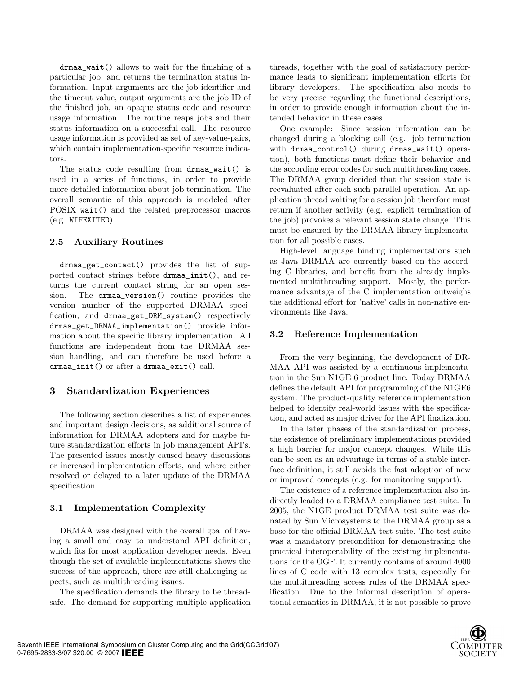drmaa\_wait() allows to wait for the finishing of a particular job, and returns the termination status information. Input arguments are the job identifier and the timeout value, output arguments are the job ID of the finished job, an opaque status code and resource usage information. The routine reaps jobs and their status information on a successful call. The resource usage information is provided as set of key-value-pairs, which contain implementation-specific resource indicators.

The status code resulting from drmaa\_wait() is used in a series of functions, in order to provide more detailed information about job termination. The overall semantic of this approach is modeled after POSIX wait() and the related preprocessor macros (e.g. WIFEXITED).

#### 2.5 Auxiliary Routines

drmaa\_get\_contact() provides the list of supported contact strings before drmaa\_init(), and returns the current contact string for an open session. The drmaa\_version() routine provides the version number of the supported DRMAA specification, and drmaa\_get\_DRM\_system() respectively drmaa\_get\_DRMAA\_implementation() provide information about the specific library implementation. All functions are independent from the DRMAA session handling, and can therefore be used before a drmaa\_init() or after a drmaa\_exit() call.

# 3 Standardization Experiences

The following section describes a list of experiences and important design decisions, as additional source of information for DRMAA adopters and for maybe future standardization efforts in job management API's. The presented issues mostly caused heavy discussions or increased implementation efforts, and where either resolved or delayed to a later update of the DRMAA specification.

# 3.1 Implementation Complexity

DRMAA was designed with the overall goal of having a small and easy to understand API definition, which fits for most application developer needs. Even though the set of available implementations shows the success of the approach, there are still challenging aspects, such as multithreading issues.

The specification demands the library to be threadsafe. The demand for supporting multiple application

threads, together with the goal of satisfactory performance leads to significant implementation efforts for library developers. The specification also needs to be very precise regarding the functional descriptions, in order to provide enough information about the intended behavior in these cases.

One example: Since session information can be changed during a blocking call (e.g. job termination with drmaa\_control() during drmaa\_wait() operation), both functions must define their behavior and the according error codes for such multithreading cases. The DRMAA group decided that the session state is reevaluated after each such parallel operation. An application thread waiting for a session job therefore must return if another activity (e.g. explicit termination of the job) provokes a relevant session state change. This must be ensured by the DRMAA library implementation for all possible cases.

High-level language binding implementations such as Java DRMAA are currently based on the according C libraries, and benefit from the already implemented multithreading support. Mostly, the performance advantage of the C implementation outweighs the additional effort for 'native' calls in non-native environments like Java.

# 3.2 Reference Implementation

From the very beginning, the development of DR-MAA API was assisted by a continuous implementation in the Sun N1GE 6 product line. Today DRMAA defines the default API for programming of the N1GE6 system. The product-quality reference implementation helped to identify real-world issues with the specification, and acted as major driver for the API finalization.

In the later phases of the standardization process, the existence of preliminary implementations provided a high barrier for major concept changes. While this can be seen as an advantage in terms of a stable interface definition, it still avoids the fast adoption of new or improved concepts (e.g. for monitoring support).

The existence of a reference implementation also indirectly leaded to a DRMAA compliance test suite. In 2005, the N1GE product DRMAA test suite was donated by Sun Microsystems to the DRMAA group as a base for the official DRMAA test suite. The test suite was a mandatory precondition for demonstrating the practical interoperability of the existing implementations for the OGF. It currently contains of around 4000 lines of C code with 13 complex tests, especially for the multithreading access rules of the DRMAA specification. Due to the informal description of operational semantics in DRMAA, it is not possible to prove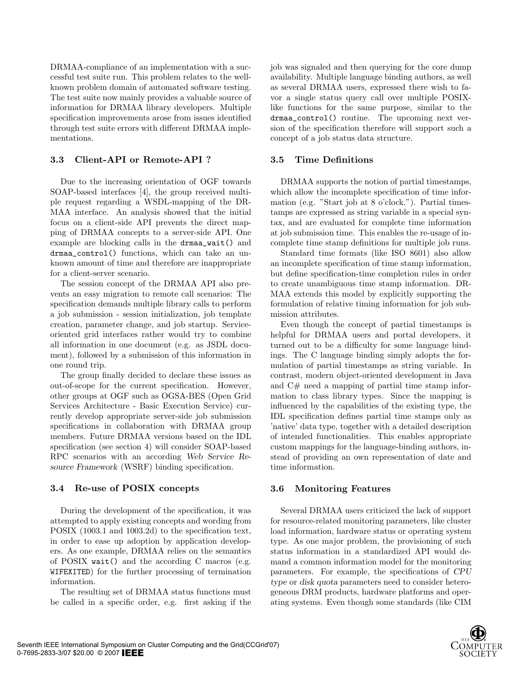DRMAA-compliance of an implementation with a successful test suite run. This problem relates to the wellknown problem domain of automated software testing. The test suite now mainly provides a valuable source of information for DRMAA library developers. Multiple specification improvements arose from issues identified through test suite errors with different DRMAA implementations.

## 3.3 Client-API or Remote-API ?

Due to the increasing orientation of OGF towards SOAP-based interfaces [4], the group received multiple request regarding a WSDL-mapping of the DR-MAA interface. An analysis showed that the initial focus on a client-side API prevents the direct mapping of DRMAA concepts to a server-side API. One example are blocking calls in the drmaa\_wait() and drmaa\_control() functions, which can take an unknown amount of time and therefore are inappropriate for a client-server scenario.

The session concept of the DRMAA API also prevents an easy migration to remote call scenarios: The specification demands multiple library calls to perform a job submission - session initialization, job template creation, parameter change, and job startup. Serviceoriented grid interfaces rather would try to combine all information in one document (e.g. as JSDL document), followed by a submission of this information in one round trip.

The group finally decided to declare these issues as out-of-scope for the current specification. However, other groups at OGF such as OGSA-BES (Open Grid Services Architecture - Basic Execution Service) currently develop appropriate server-side job submission specifications in collaboration with DRMAA group members. Future DRMAA versions based on the IDL specification (see section 4) will consider SOAP-based RPC scenarios with an according Web Service Resource Framework (WSRF) binding specification.

#### 3.4 Re-use of POSIX concepts

During the development of the specification, it was attempted to apply existing concepts and wording from POSIX (1003.1 and 1003.2d) to the specification text, in order to ease up adoption by application developers. As one example, DRMAA relies on the semantics of POSIX wait() and the according C macros (e.g. WIFEXITED) for the further processing of termination information.

The resulting set of DRMAA status functions must be called in a specific order, e.g. first asking if the job was signaled and then querying for the core dump availability. Multiple language binding authors, as well as several DRMAA users, expressed there wish to favor a single status query call over multiple POSIXlike functions for the same purpose, similar to the drmaa\_control() routine. The upcoming next version of the specification therefore will support such a concept of a job status data structure.

#### 3.5 Time Definitions

DRMAA supports the notion of partial timestamps, which allow the incomplete specification of time information (e.g. "Start job at 8 o'clock."). Partial timestamps are expressed as string variable in a special syntax, and are evaluated for complete time information at job submission time. This enables the re-usage of incomplete time stamp definitions for multiple job runs.

Standard time formats (like ISO 8601) also allow an incomplete specification of time stamp information, but define specification-time completion rules in order to create unambiguous time stamp information. DR-MAA extends this model by explicitly supporting the formulation of relative timing information for job submission attributes.

Even though the concept of partial timestamps is helpful for DRMAA users and portal developers, it turned out to be a difficulty for some language bindings. The C language binding simply adopts the formulation of partial timestamps as string variable. In contrast, modern object-oriented development in Java and C# need a mapping of partial time stamp information to class library types. Since the mapping is influenced by the capabilities of the existing type, the IDL specification defines partial time stamps only as 'native' data type, together with a detailed description of intended functionalities. This enables appropriate custom mappings for the language-binding authors, instead of providing an own representation of date and time information.

#### 3.6 Monitoring Features

Several DRMAA users criticized the lack of support for resource-related monitoring parameters, like cluster load information, hardware status or operating system type. As one major problem, the provisioning of such status information in a standardized API would demand a common information model for the monitoring parameters. For example, the specifications of CPU type or disk quota parameters need to consider heterogeneous DRM products, hardware platforms and operating systems. Even though some standards (like CIM

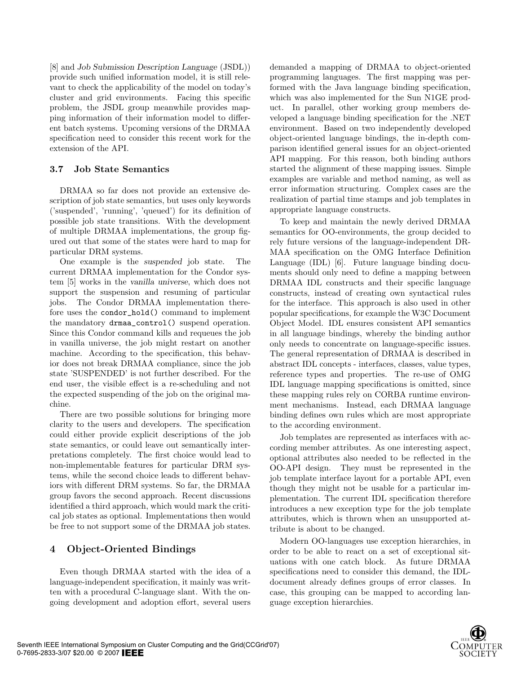[8] and Job Submission Description Language (JSDL)) provide such unified information model, it is still relevant to check the applicability of the model on today's cluster and grid environments. Facing this specific problem, the JSDL group meanwhile provides mapping information of their information model to different batch systems. Upcoming versions of the DRMAA specification need to consider this recent work for the extension of the API.

## 3.7 Job State Semantics

DRMAA so far does not provide an extensive description of job state semantics, but uses only keywords ('suspended', 'running', 'queued') for its definition of possible job state transitions. With the development of multiple DRMAA implementations, the group figured out that some of the states were hard to map for particular DRM systems.

One example is the suspended job state. The current DRMAA implementation for the Condor system [5] works in the vanilla universe, which does not support the suspension and resuming of particular jobs. The Condor DRMAA implementation therefore uses the condor\_hold() command to implement the mandatory drmaa\_control() suspend operation. Since this Condor command kills and requeues the job in vanilla universe, the job might restart on another machine. According to the specification, this behavior does not break DRMAA compliance, since the job state 'SUSPENDED' is not further described. For the end user, the visible effect is a re-scheduling and not the expected suspending of the job on the original machine.

There are two possible solutions for bringing more clarity to the users and developers. The specification could either provide explicit descriptions of the job state semantics, or could leave out semantically interpretations completely. The first choice would lead to non-implementable features for particular DRM systems, while the second choice leads to different behaviors with different DRM systems. So far, the DRMAA group favors the second approach. Recent discussions identified a third approach, which would mark the critical job states as optional. Implementations then would be free to not support some of the DRMAA job states.

# 4 Object-Oriented Bindings

Even though DRMAA started with the idea of a language-independent specification, it mainly was written with a procedural C-language slant. With the ongoing development and adoption effort, several users

demanded a mapping of DRMAA to object-oriented programming languages. The first mapping was performed with the Java language binding specification, which was also implemented for the Sun N1GE product. In parallel, other working group members developed a language binding specification for the .NET environment. Based on two independently developed object-oriented language bindings, the in-depth comparison identified general issues for an object-oriented API mapping. For this reason, both binding authors started the alignment of these mapping issues. Simple examples are variable and method naming, as well as error information structuring. Complex cases are the realization of partial time stamps and job templates in appropriate language constructs.

To keep and maintain the newly derived DRMAA semantics for OO-environments, the group decided to rely future versions of the language-independent DR-MAA specification on the OMG Interface Definition Language (IDL) [6]. Future language binding documents should only need to define a mapping between DRMAA IDL constructs and their specific language constructs, instead of creating own syntactical rules for the interface. This approach is also used in other popular specifications, for example the W3C Document Object Model. IDL ensures consistent API semantics in all language bindings, whereby the binding author only needs to concentrate on language-specific issues. The general representation of DRMAA is described in abstract IDL concepts - interfaces, classes, value types, reference types and properties. The re-use of OMG IDL language mapping specifications is omitted, since these mapping rules rely on CORBA runtime environment mechanisms. Instead, each DRMAA language binding defines own rules which are most appropriate to the according environment.

Job templates are represented as interfaces with according member attributes. As one interesting aspect, optional attributes also needed to be reflected in the OO-API design. They must be represented in the job template interface layout for a portable API, even though they might not be usable for a particular implementation. The current IDL specification therefore introduces a new exception type for the job template attributes, which is thrown when an unsupported attribute is about to be changed.

Modern OO-languages use exception hierarchies, in order to be able to react on a set of exceptional situations with one catch block. As future DRMAA specifications need to consider this demand, the IDLdocument already defines groups of error classes. In case, this grouping can be mapped to according language exception hierarchies.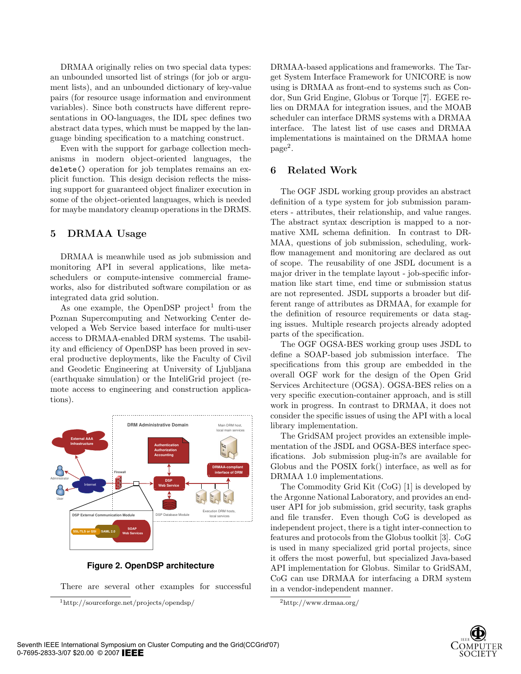DRMAA originally relies on two special data types: an unbounded unsorted list of strings (for job or argument lists), and an unbounded dictionary of key-value pairs (for resource usage information and environment variables). Since both constructs have different representations in OO-languages, the IDL spec defines two abstract data types, which must be mapped by the language binding specification to a matching construct.

Even with the support for garbage collection mechanisms in modern object-oriented languages, the delete() operation for job templates remains an explicit function. This design decision reflects the missing support for guaranteed object finalizer execution in some of the object-oriented languages, which is needed for maybe mandatory cleanup operations in the DRMS.

## 5 DRMAA Usage

DRMAA is meanwhile used as job submission and monitoring API in several applications, like metaschedulers or compute-intensive commercial frameworks, also for distributed software compilation or as integrated data grid solution.

As one example, the OpenDSP project<sup>1</sup> from the Poznan Supercomputing and Networking Center developed a Web Service based interface for multi-user access to DRMAA-enabled DRM systems. The usability and efficiency of OpenDSP has been proved in several productive deployments, like the Faculty of Civil and Geodetic Engineering at University of Ljubljana (earthquake simulation) or the InteliGrid project (remote access to engineering and construction applications).



**Figure 2. OpenDSP architecture**

There are several other examples for successful

<sup>1</sup>http://sourceforge.net/projects/opendsp/

DRMAA-based applications and frameworks. The Target System Interface Framework for UNICORE is now using is DRMAA as front-end to systems such as Condor, Sun Grid Engine, Globus or Torque [7]. EGEE relies on DRMAA for integration issues, and the MOAB scheduler can interface DRMS systems with a DRMAA interface. The latest list of use cases and DRMAA implementations is maintained on the DRMAA home page<sup>2</sup>.

#### 6 Related Work

The OGF JSDL working group provides an abstract definition of a type system for job submission parameters - attributes, their relationship, and value ranges. The abstract syntax description is mapped to a normative XML schema definition. In contrast to DR-MAA, questions of job submission, scheduling, workflow management and monitoring are declared as out of scope. The reusability of one JSDL document is a major driver in the template layout - job-specific information like start time, end time or submission status are not represented. JSDL supports a broader but different range of attributes as DRMAA, for example for the definition of resource requirements or data staging issues. Multiple research projects already adopted parts of the specification.

The OGF OGSA-BES working group uses JSDL to define a SOAP-based job submission interface. The specifications from this group are embedded in the overall OGF work for the design of the Open Grid Services Architecture (OGSA). OGSA-BES relies on a very specific execution-container approach, and is still work in progress. In contrast to DRMAA, it does not consider the specific issues of using the API with a local library implementation.

The GridSAM project provides an extensible implementation of the JSDL and OGSA-BES interface specifications. Job submission plug-in?s are available for Globus and the POSIX fork() interface, as well as for DRMAA 1.0 implementations.

The Commodity Grid Kit (CoG) [1] is developed by the Argonne National Laboratory, and provides an enduser API for job submission, grid security, task graphs and file transfer. Even though CoG is developed as independent project, there is a tight inter-connection to features and protocols from the Globus toolkit [3]. CoG is used in many specialized grid portal projects, since it offers the most powerful, but specialized Java-based API implementation for Globus. Similar to GridSAM, CoG can use DRMAA for interfacing a DRM system in a vendor-independent manner.



<sup>2</sup>http://www.drmaa.org/